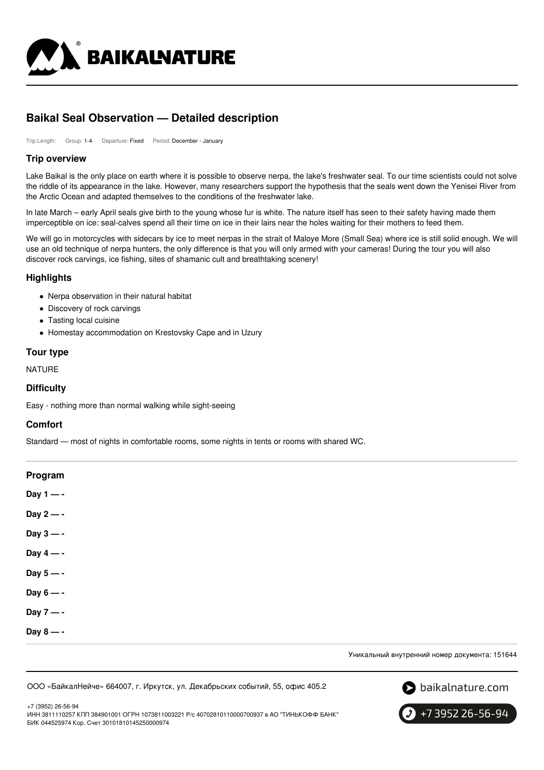

# **Baikal Seal Observation — Detailed description**

Trip Length: Group: 1-4 Departure: Fixed Period: December - January

#### **Trip overview**

Lake Baikal is the only place on earth where it is possible to observe nerpa, the lake's freshwater seal. To our time scientists could not solve the riddle of its appearance in the lake. However, many researchers support the hypothesis that the seals went down the Yenisei River from the Arctic Ocean and adapted themselves to the conditions of the freshwater lake.

In late March – early April seals give birth to the young whose fur is white. The nature itself has seen to their safety having made them imperceptible on ice: seal-calves spend all their time on ice in their lairs near the holes waiting for their mothers to feed them.

We will go in motorcycles with sidecars by ice to meet nerpas in the strait of Maloye More (Small Sea) where ice is still solid enough. We will use an old technique of nerpa hunters, the only difference is that you will only armed with your cameras! During the tour you will also discover rock carvings, ice fishing, sites of shamanic cult and breathtaking scenery!

#### **Highlights**

- Nerpa observation in their natural habitat
- Discovery of rock carvings
- Tasting local cuisine
- Homestay accommodation on Krestovsky Cape and in Uzury

#### **Tour type**

NATURE

#### **Difficulty**

Easy - nothing more than normal walking while sight-seeing

#### **Comfort**

Standard — most of nights in comfortable rooms, some nights in tents or rooms with shared WC.

| Program     |  |  |  |
|-------------|--|--|--|
| Day $1 - -$ |  |  |  |
| Day $2 - -$ |  |  |  |
| Day $3 - -$ |  |  |  |
| Day $4 - -$ |  |  |  |
| Day $5 - -$ |  |  |  |
| Day $6 - -$ |  |  |  |
| Day $7 - -$ |  |  |  |
| Day $8 - -$ |  |  |  |
|             |  |  |  |

Уникальный внутренний номер документа: 151644

ООО «БайкалНейче» 664007, г. Иркутск, ул. Декабрьских событий, 55, офис 405.2



+7 (3952) 26-56-94 ИНН 3811110257 КПП 384901001 ОГРН 1073811003221 Р/с 40702810110000700937 в АО "ТИНЬКОФФ БАНК" БИК 044525974 Кор. Счет 30101810145250000974

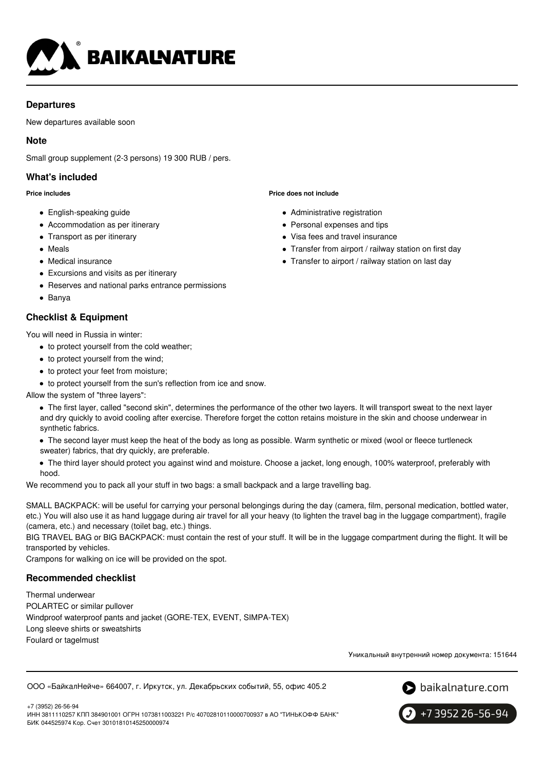

# **Departures**

New departures available soon

# **Note**

Small group supplement (2-3 persons) 19 300 RUB / pers.

# **What's included**

#### **Price includes**

- English-speaking guide
- Accommodation as per itinerary
- Transport as per itinerary
- Meals
- Medical insurance
- Excursions and visits as per itinerary
- Reserves and national parks entrance permissions
- Banya

# **Checklist & Equipment**

You will need in Russia in winter:

- $\bullet$  to protect yourself from the cold weather;
- to protect yourself from the wind;
- to protect your feet from moisture;
- $\bullet$  to protect yourself from the sun's reflection from ice and snow.

Allow the system of "three layers":

- The first layer, called "second skin", determines the performance of the other two layers. It will transport sweat to the next layer and dry quickly to avoid cooling after exercise. Therefore forget the cotton retains moisture in the skin and choose underwear in synthetic fabrics.
- The second layer must keep the heat of the body as long as possible. Warm synthetic or mixed (wool or fleece turtleneck sweater) fabrics, that dry quickly, are preferable.
- The third layer should protect you against wind and moisture. Choose a jacket, long enough, 100% waterproof, preferably with hood.

We recommend you to pack all your stuff in two bags: a small backpack and a large travelling bag.

SMALL BACKPACK: will be useful for carrying your personal belongings during the day (camera, film, personal medication, bottled water, etc.) You will also use it as hand luggage during air travel for all your heavy (to lighten the travel bag in the luggage compartment), fragile (camera, etc.) and necessary (toilet bag, etc.) things.

BIG TRAVEL BAG or BIG BACKPACK: must contain the rest of your stuff. It will be in the luggage compartment during the flight. It will be transported by vehicles.

Crampons for walking on ice will be provided on the spot.

## **Recommended checklist**

Thermal underwear POLARTEC or similar pullover Windproof waterproof pants and jacket (GORE-TEX, EVENT, SIMPA-TEX) Long sleeve shirts or sweatshirts Foulard or tagelmust

Уникальный внутренний номер документа: 151644

ООО «БайкалНейче» 664007, г. Иркутск, ул. Декабрьских событий, 55, офис 405.2



+7 (3952) 26-56-94 ИНН 3811110257 КПП 384901001 ОГРН 1073811003221 Р/с 40702810110000700937 в АО "ТИНЬКОФФ БАНК" БИК 044525974 Кор. Счет 30101810145250000974



**Price does not include**

- Administrative registration
- Personal expenses and tips
- Visa fees and travel insurance
- Transfer from airport / railway station on first day
- Transfer to airport / railway station on last day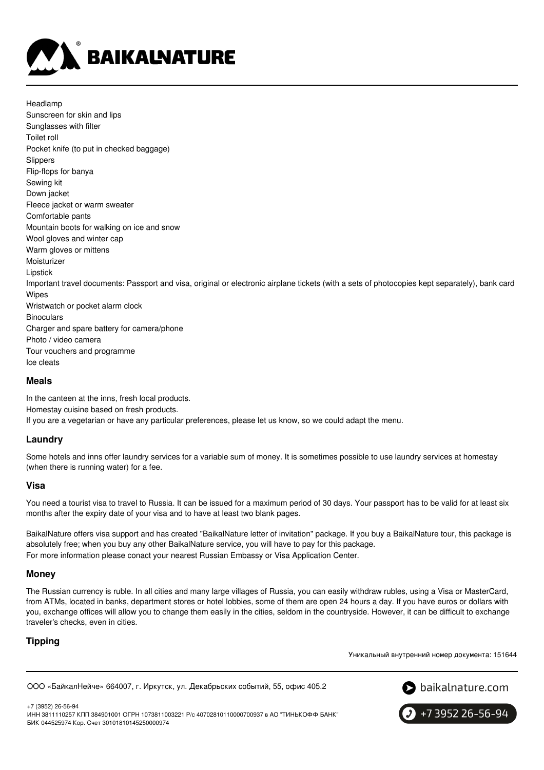

Headlamp Sunscreen for skin and lips Sunglasses with filter Toilet roll Pocket knife (to put in checked baggage) Slippers Flip-flops for banya Sewing kit Down jacket Fleece jacket or warm sweater Comfortable pants Mountain boots for walking on ice and snow Wool gloves and winter cap Warm gloves or mittens Moisturizer Lipstick Important travel documents: Passport and visa, original or electronic airplane tickets (with a sets of photocopies kept separately), bank card Wipes Wristwatch or pocket alarm clock **Binoculars** Charger and spare battery for camera/phone Photo / video camera Tour vouchers and programme Ice cleats

#### **Meals**

In the canteen at the inns, fresh local products. Homestay cuisine based on fresh products. If you are a vegetarian or have any particular preferences, please let us know, so we could adapt the menu.

#### **Laundry**

Some hotels and inns offer laundry services for a variable sum of money. It is sometimes possible to use laundry services at homestay (when there is running water) for a fee.

#### **Visa**

You need a tourist visa to travel to Russia. It can be issued for a maximum period of 30 days. Your passport has to be valid for at least six months after the expiry date of your visa and to have at least two blank pages.

BaikalNature offers visa support and has created "BaikalNature letter of invitation" package. If you buy a BaikalNature tour, this package is absolutely free; when you buy any other BaikalNature service, you will have to pay for this package. For more information please conact your nearest Russian Embassy or Visa Application Center.

#### **Money**

The Russian currency is ruble. In all cities and many large villages of Russia, you can easily withdraw rubles, using a Visa or MasterCard, from ATMs, located in banks, department stores or hotel lobbies, some of them are open 24 hours a day. If you have euros or dollars with you, exchange offices will allow you to change them easily in the cities, seldom in the countryside. However, it can be difficult to exchange traveler's checks, even in cities.

#### **Tipping**

Уникальный внутренний номер документа: 151644

```
ООО «БайкалНейче» 664007, г. Иркутск, ул. Декабрьских событий, 55, офис 405.2
```


+7 (3952) 26-56-94 ИНН 3811110257 КПП 384901001 ОГРН 1073811003221 Р/с 40702810110000700937 в АО "ТИНЬКОФФ БАНК" БИК 044525974 Кор. Счет 30101810145250000974

 $\big\}$  +7 3952 26-56-94